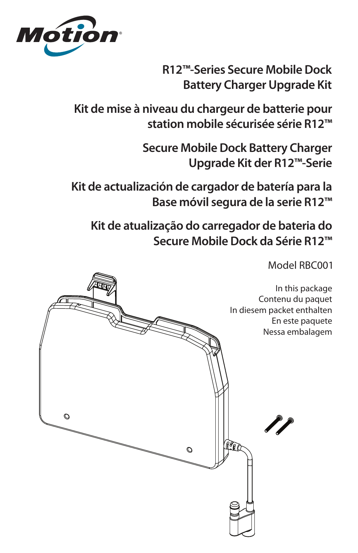

**R12™-Series Secure Mobile Dock Battery Charger Upgrade Kit**

**Kit de mise à niveau du chargeur de batterie pour station mobile sécurisée série R12™**

> **Secure Mobile Dock Battery Charger Upgrade Kit der R12™-Serie**

**Kit de actualización de cargador de batería para la Base móvil segura de la serie R12™**

**Kit de atualização do carregador de bateria do Secure Mobile Dock da Série R12™**

Model RBC001

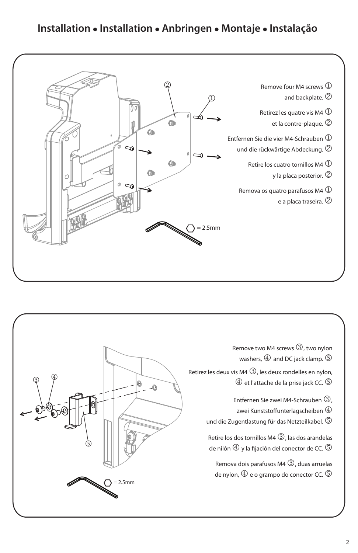## **Installation Installation Anbringen Montaje Instalação**



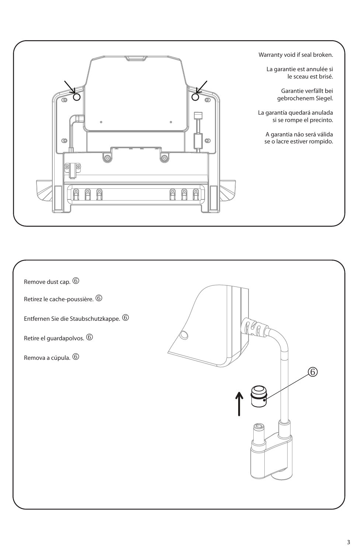

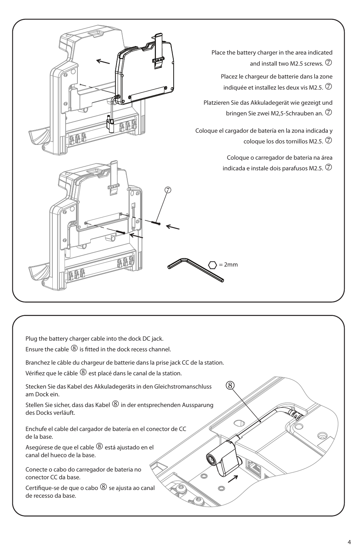

(8)

| Plug the battery charger cable into the dock DC jack. |  |
|-------------------------------------------------------|--|
|                                                       |  |

Ensure the cable  $\circledS$  is fitted in the dock recess channel.

Branchez le câble du chargeur de batterie dans la prise jack CC de la station.

Vérifiez que le câble  $\circledR$  est placé dans le canal de la station.

Stecken Sie das Kabel des Akkuladegeräts in den Gleichstromanschluss am Dock ein.

Stellen Sie sicher, dass das Kabel  $\circledR$  in der entsprechenden Aussparung des Docks verläuft.

Enchufe el cable del cargador de batería en el conector de CC de la base.

Asegúrese de que el cable  $\circledS$  está ajustado en el canal del hueco de la base.

Conecte o cabo do carregador de bateria no conector CC da base.

Certifique-se de que o cabo  $\circledS$  se ajusta ao canal de recesso da base.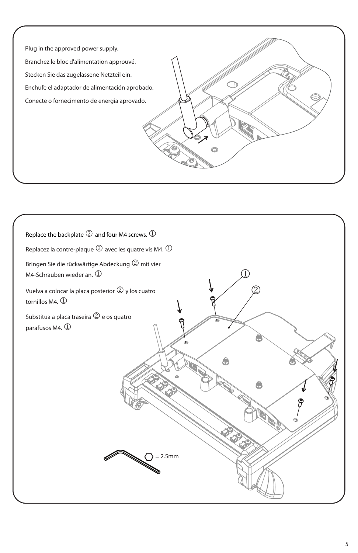

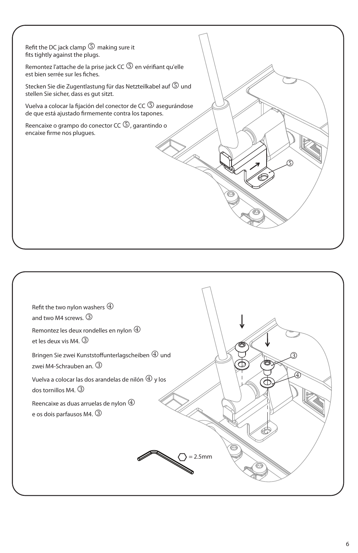Refit the DC jack clamp  $\circledS$  making sure it fits tightly against the plugs.

Remontez l'attache de la prise jack CC  $\circledS$  en vérifiant qu'elle est bien serrée sur les fiches.

Stecken Sie die Zugentlastung für das Netzteilkabel auf  $\mathbb S$  und stellen Sie sicher, dass es gut sitzt.

Vuelva a colocar la fijación del conector de CC <sup>5</sup> asegurándose de que está ajustado firmemente contra los tapones.

Reencaixe o grampo do conector CC  $\mathbb G$ , garantindo o encaixe firme nos plugues.



I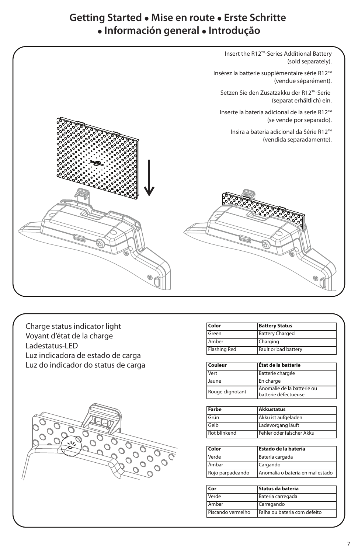## **Getting Started Mise en route Erste Schritte Información general Introdução**

Insert the R12™-Series Additional Battery (sold separately). Insérez la batterie supplémentaire série R12™ (vendue séparément). Setzen Sie den Zusatzakku der R12™-Serie (separat erhältlich) ein. Inserte la batería adicional de la serie R12™ (se vende por separado). Insira a bateria adicional da Série R12™ (vendida separadamente).

Charge status indicator light Voyant d'état de la charge Ladestatus-LED Luz indicadora de estado de carga Luz do indicador do status de carga



| Color        | <b>Battery Status</b>  |  |
|--------------|------------------------|--|
| Green        | <b>Battery Charged</b> |  |
| Amber        | Charging               |  |
| Flashing Red | Fault or bad battery   |  |

| Couleur          | État de la batterie                                  |
|------------------|------------------------------------------------------|
| Vert             | Batterie chargée                                     |
| Jaune            | En charge                                            |
| Rouge clignotant | l Anomalie de la batterie ou<br>batterie défectueuse |

| Farbe               | <b>Akkustatus</b>         |
|---------------------|---------------------------|
| Grün                | Akku ist aufgeladen       |
| Gelb                | Ladevorgang läuft         |
| <b>Rot blinkend</b> | Fehler oder falscher Akku |

| Color            | Estado de la batería             |
|------------------|----------------------------------|
| Verde            | Batería cargada                  |
| <b>Ambar</b>     | Cargando                         |
| Rojo parpadeando | Anomalía o batería en mal estado |

| Cor               | Status da bateria            |
|-------------------|------------------------------|
| Verde             | Bateria carregada            |
| Âmbar             | Carregando                   |
| Piscando vermelho | Falha ou bateria com defeito |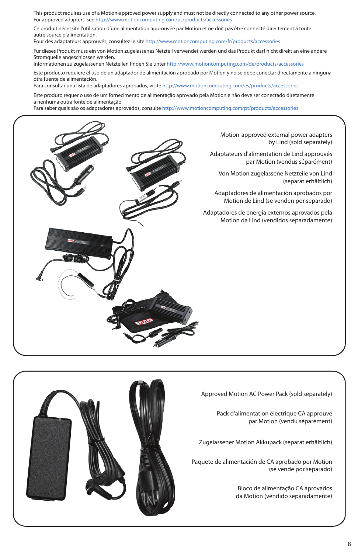This product requires use of a Motion-approved power supply and must not be directly connected to any other power source. For approved adapters, see http://www.motioncomputing.com/us/products/accessories

Ce produit nécessite l'utilisation d'une alimentation approuvée par Motion et ne doit pas être connecté directement à toute autre source d'alimentation.

Pour des adaptateurs approuvés, consultez le site http://www.motioncomputing.com/fr/products/accessories

Für dieses Produkt muss ein von Motion zugelassenes Netzteil verwendet werden und das Produkt darf nicht direkt an eine andere Stromquelle angeschlossen werden.

Informationen zu zugelassenen Netzteilen finden Sie unter http://www.motioncomputing.com/de/products/accessories

Este producto requiere el uso de un adaptador de alimentación aprobado por Motion y no se debe conectar directamente a ninguna otra fuente de alimentación.

Para consultar una lista de adaptadores aprobados, visite http://www.motioncomputing.com/es/products/accessories

Este produto requer o uso de um fornecimento de alimentação aprovado pela Motion e não deve ser conectado diretamente a nenhuma outra fonte de alimentação.

Para saber quais são os adaptadores aprovados, consulte http://www.motioncomputing.com/pt/products/accessories



Motion-approved external power adapters by Lind (sold separately)

Adaptateurs d'alimentation de Lind approuvés par Motion (vendus séparément)

Von Motion zugelassene Netzteile von Lind (separat erhältlich)

Adaptadores de alimentación aprobados por Motion de Lind (se venden por separado)

Adaptadores de energia externos aprovados pela Motion da Lind (vendidos separadamente)



Approved Motion AC Power Pack (sold separately)

Pack d'alimentation électrique CA approuvé par Motion (vendu séparément)

Zugelassener Motion Akkupack (separat erhältlich)

Paquete de alimentación de CA aprobado por Motion (se vende por separado)

> Bloco de alimentação CA aprovados da Motion (vendido separadamente)